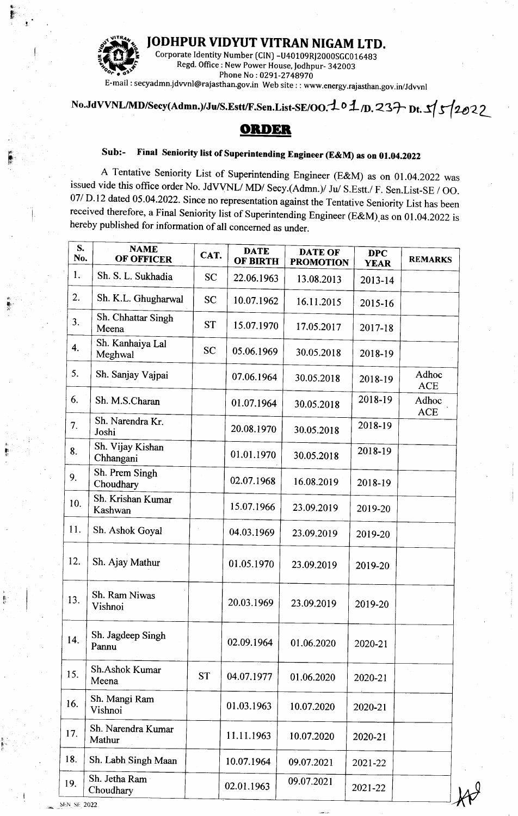## JODHPUR VIDYUT VITRAN NIGAM LTD.



Corporate Identity Number (CIN) -U40109RJ2000SGC016483 Regd. Office: New Power House, Jodhpur- 342003 Phone No: 0291-2748970

E-mail:secyadmn.jdvvnl@rajasthan.gov.in Web site::www.energy.rajasthan.gov.in/Jdvvnl

## No.JdVVNL/MD/Secy(Admn.)/Ju/S.Estt/F.Sen.List-SE/OO.101/D.237 Dt. 5/5/2022

## **ORDER**

## Final Seniority list of Superintending Engineer (E&M) as on 01.04.2022 Sub:-

A Tentative Seniority List of Superintending Engineer (E&M) as on 01.04.2022 was issued vide this office order No. JdVVNL/MD/ Secy.(Admn.)/ Ju/ S.Estt./ F. Sen.List-SE / OO. 07/ D.12 dated 05.04.2022. Since no representation against the Tentative Seniority List has been received therefore, a Final Seniority list of Superintending Engineer (E&M) as on 01.04.2022 is hereby published for information of all concerned as under.

| S.<br>No.                 | <b>NAME</b><br><b>OF OFFICER</b> | CAT.      | <b>DATE</b><br><b>OF BIRTH</b> | <b>DATE OF</b><br><b>PROMOTION</b> | <b>DPC</b><br><b>YEAR</b> | <b>REMARKS</b>      |
|---------------------------|----------------------------------|-----------|--------------------------------|------------------------------------|---------------------------|---------------------|
| 1.                        | Sh. S. L. Sukhadia               | <b>SC</b> | 22.06.1963                     | 13.08.2013                         | 2013-14                   |                     |
| 2.                        | Sh. K.L. Ghugharwal              | <b>SC</b> | 10.07.1962                     | 16.11.2015                         | 2015-16                   |                     |
| 3.                        | Sh. Chhattar Singh<br>Meena      | <b>ST</b> | 15.07.1970                     | 17.05.2017                         | 2017-18                   |                     |
| 4.                        | Sh. Kanhaiya Lal<br>Meghwal      | <b>SC</b> | 05.06.1969                     | 30.05.2018                         | 2018-19                   |                     |
| 5.                        | Sh. Sanjay Vajpai                |           | 07.06.1964                     | 30.05.2018                         | 2018-19                   | Adhoc<br><b>ACE</b> |
| 6.                        | Sh. M.S.Charan                   |           | 01.07.1964                     | 30.05.2018                         | 2018-19                   | Adhoc<br><b>ACE</b> |
| 7.                        | Sh. Narendra Kr.<br>Joshi        |           | 20.08.1970                     | 30.05.2018                         | 2018-19                   |                     |
| 8.                        | Sh. Vijay Kishan<br>Chhangani    |           | 01.01.1970                     | 30.05.2018                         | 2018-19                   |                     |
| 9.                        | Sh. Prem Singh<br>Choudhary      |           | 02.07.1968                     | 16.08.2019                         | 2018-19                   |                     |
| 10.                       | Sh. Krishan Kumar<br>Kashwan     |           | 15.07.1966                     | 23.09.2019                         | 2019-20                   |                     |
| 11.                       | Sh. Ashok Goyal                  |           | 04.03.1969                     | 23.09.2019                         | 2019-20                   |                     |
| 12.                       | Sh. Ajay Mathur                  |           | 01.05.1970                     | 23.09.2019                         | 2019-20                   |                     |
| 13.                       | Sh. Ram Niwas<br>Vishnoi         |           | 20.03.1969                     | 23.09.2019                         | 2019-20                   |                     |
| 14.                       | Sh. Jagdeep Singh<br>Pannu       |           | 02.09.1964                     | 01.06.2020                         | 2020-21                   |                     |
| 15.                       | Sh.Ashok Kumar<br>Meena          | <b>ST</b> | 04.07.1977                     | 01.06.2020                         | 2020-21                   |                     |
| 16.                       | Sh. Mangi Ram<br>Vishnoi         |           | 01.03.1963                     | 10.07.2020                         | 2020-21                   |                     |
| 17.                       | Sh. Narendra Kumar<br>Mathur     |           | 11.11.1963                     | 10.07.2020                         | 2020-21                   |                     |
| 18.                       | Sh. Labh Singh Maan              |           | 10.07.1964                     | 09.07.2021                         | 2021-22                   |                     |
| 19.<br><b>SEN SE 2022</b> | Sh. Jetha Ram<br>Choudhary       |           | 02.01.1963                     | 09.07.2021                         | 2021-22                   |                     |